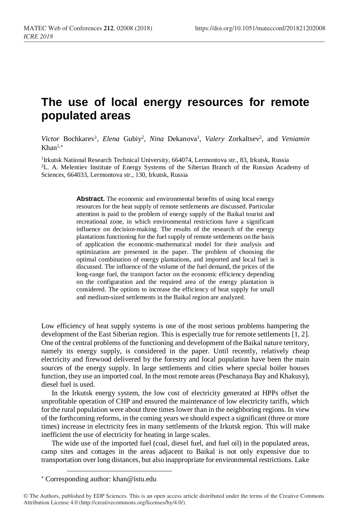## **The use of local energy resources for remote populated areas**

Victor Bochkarev<sup>1</sup>, *Elena* Gubiy<sup>2</sup>, *Nina* Dekanova<sup>1</sup>, *Valery Zorkaltsev<sup>2</sup>, and Veniamin*  $K$ han<sup>1,\*</sup>

<sup>1</sup>Irkutsk National Research Technical University, 664074, Lermontova str., 83, Irkutsk, Russia <sup>2</sup>L. A. Melentiev Institute of Energy Systems of the Siberian Branch of the Russian Academy of Sciences, 664033, Lermontova str., 130, Irkutsk, Russia

> Abstract. The economic and environmental benefits of using local energy resources for the heat supply of remote settlements are discussed. Particular attention is paid to the problem of energy supply of the Baikal tourist and recreational zone, in which environmental restrictions have a significant influence on decision-making. The results of the research of the energy plantations functioning for the fuel supply of remote settlements on the basis of application the economic-mathematical model for their analysis and optimization are presented in the paper. The problem of choosing the optimal combination of energy plantations, and imported and local fuel is discussed. The influence of the volume of the fuel demand, the prices of the long-range fuel, the transport factor on the economic efficiency depending on the configuration and the required area of the energy plantation is considered. The options to increase the efficiency of heat supply for small and medium-sized settlements in the Baikal region are analyzed.

Low efficiency of heat supply systems is one of the most serious problems hampering the development of the East Siberian region. This is especially true for remote settlements [1, 2]. One of the central problems of the functioning and development of the Baikal nature territory, namely its energy supply, is considered in the paper. Until recently, relatively cheap electricity and firewood delivered by the forestry and local population have been the main sources of the energy supply. In large settlements and cities where special boiler houses function, they use an imported coal. In the most remote areas (Peschanaya Bay and Khakusy), diesel fuel is used.

In the Irkutsk energy system, the low cost of electricity generated at HPPs offset the unprofitable operation of CHP and ensured the maintenance of low electricity tariffs, which for the rural population were about three times lower than in the neighboring regions. In view of the forthcoming reforms, in the coming years we should expect a significant (three or more times) increase in electricity fees in many settlements of the Irkutsk region. This will make inefficient the use of electricity for heating in large scales.

The wide use of the imported fuel (coal, diesel fuel, and fuel oil) in the populated areas, camp sites and cottages in the areas adjacent to Baikal is not only expensive due to transportation over long distances, but also inappropriate for environmental restrictions. Lake

 $\overline{a}$ 

Corresponding author: khan@istu.edu

<sup>©</sup> The Authors, published by EDP Sciences. This is an open access article distributed under the terms of the Creative Commons Attribution License 4.0 (http://creativecommons.org/licenses/by/4.0/).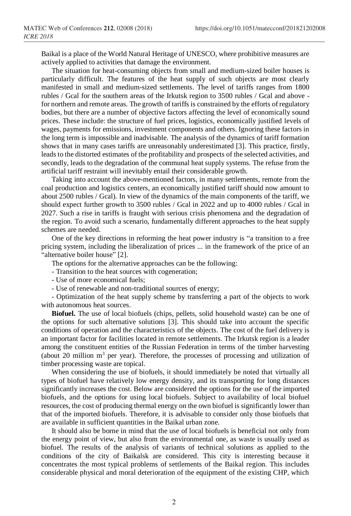Baikal is a place of the World Natural Heritage of UNESCO, where prohibitive measures are actively applied to activities that damage the environment.

The situation for heat-consuming objects from small and medium-sized boiler houses is particularly difficult. The features of the heat supply of such objects are most clearly manifested in small and medium-sized settlements. The level of tariffs ranges from 1800 rubles / Gcal for the southern areas of the Irkutsk region to 3500 rubles / Gcal and above for northern and remote areas. The growth of tariffs is constrained by the efforts of regulatory bodies, but there are a number of objective factors affecting the level of economically sound prices. These include: the structure of fuel prices, logistics, economically justified levels of wages, payments for emissions, investment components and others. Ignoring these factors in the long term is impossible and inadvisable. The analysis of the dynamics of tariff formation shows that in many cases tariffs are unreasonably underestimated [3]. This practice, firstly, leads to the distorted estimates of the profitability and prospects of the selected activities, and secondly, leads to the degradation of the communal heat supply systems. The refuse from the artificial tariff restraint will inevitably entail their considerable growth.

Taking into account the above-mentioned factors, in many settlements, remote from the coal production and logistics centers, an economically justified tariff should now amount to about 2500 rubles / Gcal). In view of the dynamics of the main components of the tariff, we should expect further growth to 3500 rubles / Gcal in 2022 and up to 4000 rubles / Gcal in 2027. Such a rise in tariffs is fraught with serious crisis phenomena and the degradation of the region. To avoid such a scenario, fundamentally different approaches to the heat supply schemes are needed.

One of the key directions in reforming the heat power industry is "a transition to a free pricing system, including the liberalization of prices ... in the framework of the price of an "alternative boiler house" [2].

The options for the alternative approaches can be the following:

- Transition to the heat sources with cogeneration;

- Use of more economical fuels;

- Use of renewable and non-traditional sources of energy;

- Optimization of the heat supply scheme by transferring a part of the objects to work with autonomous heat sources.

**Biofuel.** The use of local biofuels (chips, pellets, solid household waste) can be one of the options for such alternative solutions [3]. This should take into account the specific conditions of operation and the characteristics of the objects. The cost of the fuel delivery is an important factor for facilities located in remote settlements. The Irkutsk region is a leader among the constituent entities of the Russian Federation in terms of the timber harvesting (about 20 million  $m<sup>3</sup>$  per year). Therefore, the processes of processing and utilization of timber processing waste are topical.

When considering the use of biofuels, it should immediately be noted that virtually all types of biofuel have relatively low energy density, and its transporting for long distances significantly increases the cost. Below are considered the options for the use of the imported biofuels, and the options for using local biofuels. Subject to availability of local biofuel resources, the cost of producing thermal energy on the own biofuel is significantly lower than that of the imported biofuels. Therefore, it is advisable to consider only those biofuels that are available in sufficient quantities in the Baikal urban zone.

It should also be borne in mind that the use of local biofuels is beneficial not only from the energy point of view, but also from the environmental one, as waste is usually used as biofuel. The results of the analysis of variants of technical solutions as applied to the conditions of the city of Baikalsk are considered. This city is interesting because it concentrates the most typical problems of settlements of the Baikal region. This includes considerable physical and moral deterioration of the equipment of the existing CHP, which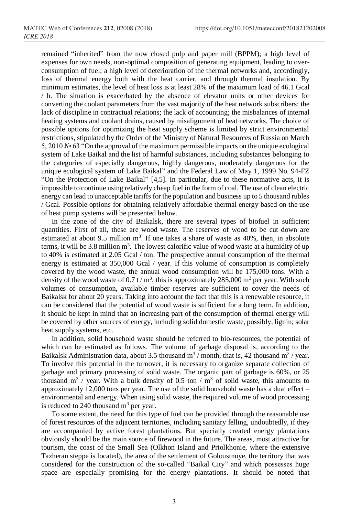remained "inherited" from the now closed pulp and paper mill (BPPM); a high level of expenses for own needs, non-optimal composition of generating equipment, leading to overconsumption of fuel; a high level of deterioration of the thermal networks and, accordingly, loss of thermal energy both with the heat carrier, and through thermal insulation. By minimum estimates, the level of heat loss is at least 28% of the maximum load of 46.1 Gcal / h. The situation is exacerbated by the absence of elevator units or other devices for converting the coolant parameters from the vast majority of the heat network subscribers; the lack of discipline in contractual relations; the lack of accounting; the misbalances of internal heating systems and coolant drains, caused by misalignment of heat networks. The choice of possible options for optimizing the heat supply scheme is limited by strict environmental restrictions, stipulated by the Order of the Ministry of Natural Resources of Russia on March 5, 2010 № 63 "On the approval of the maximum permissible impacts on the unique ecological system of Lake Baikal and the list of harmful substances, including substances belonging to the categories of especially dangerous, highly dangerous, moderately dangerous for the unique ecological system of Lake Baikal" and the Federal Law of May 1, 1999 No. 94-FZ "On the Protection of Lake Baikal" [4,5]. In particular, due to these normative acts, it is impossible to continue using relatively cheap fuel in the form of coal. The use of clean electric energy can lead to unacceptable tariffs for the population and business up to 5 thousand rubles / Gcal. Possible options for obtaining relatively affordable thermal energy based on the use of heat pump systems will be presented below.

In the zone of the city of Baikalsk, there are several types of biofuel in sufficient quantities. First of all, these are wood waste. The reserves of wood to be cut down are estimated at about 9.5 million  $m<sup>3</sup>$ . If one takes a share of waste as 40%, then, in absolute terms, it will be 3.8 million  $m^3$ . The lowest calorific value of wood waste at a humidity of up to 40% is estimated at 2.05 Gcal / ton. The prospective annual consumption of the thermal energy is estimated at 350,000 Gcal / year. If this volume of consumption is completely covered by the wood waste, the annual wood consumption will be 175,000 tons. With a density of the wood waste of 0.7 t /  $m<sup>3</sup>$ , this is approximately 285,000  $m<sup>3</sup>$  per year. With such volumes of consumption, available timber reserves are sufficient to cover the needs of Baikalsk for about 20 years. Taking into account the fact that this is a renewable resource, it can be considered that the potential of wood waste is sufficient for a long term. In addition, it should be kept in mind that an increasing part of the consumption of thermal energy will be covered by other sources of energy, including solid domestic waste, possibly, lignin; solar heat supply systems, etc.

In addition, solid household waste should be referred to bio-resources, the potential of which can be estimated as follows. The volume of garbage disposal is, according to the Baikalsk Administration data, about 3.5 thousand  $m^3/$  month, that is, 42 thousand  $m^3/$  year. To involve this potential in the turnover, it is necessary to organize separate collection of garbage and primary processing of solid waste. The organic part of garbage is 60%, or 25 thousand  $m^3$  / year. With a bulk density of 0.5 ton /  $m^3$  of solid waste, this amounts to approximately 12,000 tons per year. The use of the solid household waste has a dual effect – environmental and energy. When using solid waste, the required volume of wood processing is reduced to 240 thousand  $m<sup>3</sup>$  per year.

To some extent, the need for this type of fuel can be provided through the reasonable use of forest resources of the adjacent territories, including sanitary felling, undoubtedly, if they are accompanied by active forest plantations. But specially created energy plantations obviously should be the main source of firewood in the future. The areas, most attractive for tourism, the coast of the Small Sea (Olkhon Island and Priolkhonie, where the extensive Tazheran steppe is located), the area of the settlement of Goloustnoye, the territory that was considered for the construction of the so-called "Baikal City" and which possesses huge space are especially promising for the energy plantations. It should be noted that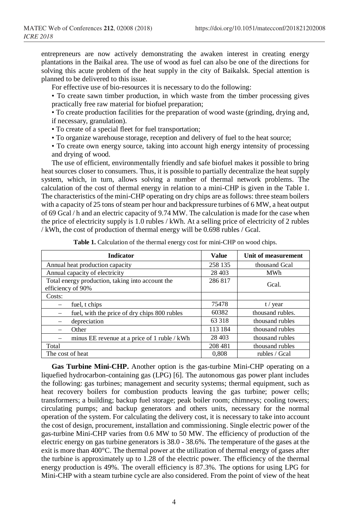entrepreneurs are now actively demonstrating the awaken interest in creating energy plantations in the Baikal area. The use of wood as fuel can also be one of the directions for solving this acute problem of the heat supply in the city of Baikalsk. Special attention is planned to be delivered to this issue.

For effective use of bio-resources it is necessary to do the following:

• To create sawn timber production, in which waste from the timber processing gives practically free raw material for biofuel preparation;

• To create production facilities for the preparation of wood waste (grinding, drying and, if necessary, granulation).

• To create of a special fleet for fuel transportation;

• To organize warehouse storage, reception and delivery of fuel to the heat source;

• To create own energy source, taking into account high energy intensity of processing and drying of wood.

The use of efficient, environmentally friendly and safe biofuel makes it possible to bring heat sources closer to consumers. Thus, it is possible to partially decentralize the heat supply system, which, in turn, allows solving a number of thermal network problems. The calculation of the cost of thermal energy in relation to a mini-CHP is given in the Table 1. The characteristics of the mini-CHP operating on dry chips are as follows: three steam boilers with a capacity of 25 tons of steam per hour and backpressure turbines of 6 MW, a heat output of 69 Gcal / h and an electric capacity of 9.74 MW. The calculation is made for the case when the price of electricity supply is 1.0 rubles / kWh. At a selling price of electricity of 2 rubles / kWh, the cost of production of thermal energy will be 0.698 rubles / Gcal.

| <b>Indicator</b>                                                      | <b>Value</b> | Unit of measurement |  |  |
|-----------------------------------------------------------------------|--------------|---------------------|--|--|
| Annual heat production capacity                                       | 258 135      | thousand Geal       |  |  |
| Annual capacity of electricity                                        | 28 4 03      | <b>MWh</b>          |  |  |
| Total energy production, taking into account the<br>efficiency of 90% | 286 817      | Gcal.               |  |  |
| Costs:                                                                |              |                     |  |  |
| fuel, t chips                                                         | 75478        | t / year            |  |  |
| fuel, with the price of dry chips 800 rubles                          | 60382        | thousand rubles.    |  |  |
| depreciation                                                          | 63 318       | thousand rubles     |  |  |
| Other                                                                 | 113 184      | thousand rubles     |  |  |
| minus EE revenue at a price of 1 ruble / kWh                          | 28 4 03      | thousand rubles     |  |  |
| Total                                                                 | 208 481      | thousand rubles     |  |  |
| The cost of heat                                                      | 0.808        | rubles / Gcal       |  |  |

**Table 1.** Calculation of the thermal energy cost for mini-CHP on wood chips.

**Gas Turbine Mini-CHP.** Another option is the gas-turbine Mini-CHP operating on a liquefied hydrocarbon-containing gas (LPG) [6]. The autonomous gas power plant includes the following: gas turbines; management and security systems; thermal equipment, such as heat recovery boilers for combustion products leaving the gas turbine; power cells; transformers; a building; backup fuel storage; peak boiler room; chimneys; cooling towers; circulating pumps; and backup generators and others units, necessary for the normal operation of the system. For calculating the delivery cost, it is necessary to take into account the cost of design, procurement, installation and commissioning. Single electric power of the gas-turbine Mini-CHP varies from 0.6 MW to 50 MW. The efficiency of production of the electric energy on gas turbine generators is 38.0 - 38.6%. The temperature of the gases at the exit is more than 400°C. The thermal power at the utilization of thermal energy of gases after the turbine is approximately up to 1.28 of the electric power. The efficiency of the thermal energy production is 49%. The overall efficiency is 87.3%. The options for using LPG for Mini-CHP with a steam turbine cycle are also considered. From the point of view of the heat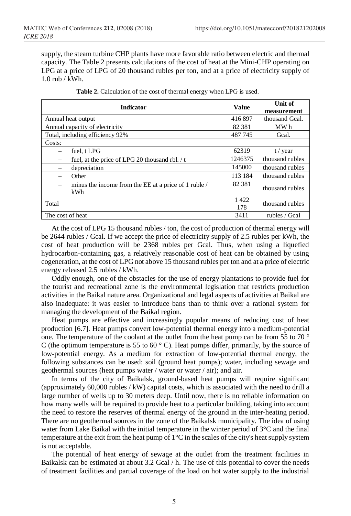supply, the steam turbine CHP plants have more favorable ratio between electric and thermal capacity. The Table 2 presents calculations of the cost of heat at the Mini-CHP operating on LPG at a price of LPG of 20 thousand rubles per ton, and at a price of electricity supply of 1.0 rub / kWh.

| <b>Indicator</b>                                            | <b>Value</b> | <b>Unit of</b><br>measurement |
|-------------------------------------------------------------|--------------|-------------------------------|
| Annual heat output                                          | 416897       | thousand Geal.                |
| Annual capacity of electricity                              | 82 381       | MW h                          |
| Total, including efficiency 92%                             | 487 745      | Gcal.                         |
| Costs:                                                      |              |                               |
| fuel, t LPG                                                 | 62319        | $t /$ year                    |
| fuel, at the price of LPG 20 thousand rbl. / t              | 1246375      | thousand rubles               |
| depreciation                                                | 145000       | thousand rubles               |
| Other                                                       | 113 184      | thousand rubles               |
| minus the income from the EE at a price of 1 ruble /<br>kWh | 82 381       | thousand rubles               |
| Total                                                       | 1422<br>178  | thousand rubles               |
| The cost of heat                                            | 3411         | rubles / Gcal                 |

| <b>Table 2.</b> Calculation of the cost of thermal energy when LPG is used. |  |  |  |  |
|-----------------------------------------------------------------------------|--|--|--|--|
|-----------------------------------------------------------------------------|--|--|--|--|

At the cost of LPG 15 thousand rubles / ton, the cost of production of thermal energy will be 2644 rubles / Gcal. If we accept the price of electricity supply of 2.5 rubles per kWh, the cost of heat production will be 2368 rubles per Gcal. Thus, when using a liquefied hydrocarbon-containing gas, a relatively reasonable cost of heat can be obtained by using cogeneration, at the cost of LPG not above 15 thousand rubles per ton and at a price of electric energy released 2.5 rubles / kWh.

Oddly enough, one of the obstacles for the use of energy plantations to provide fuel for the tourist and recreational zone is the environmental legislation that restricts production activities in the Baikal nature area. Organizational and legal aspects of activities at Baikal are also inadequate: it was easier to introduce bans than to think over a rational system for managing the development of the Baikal region.

Heat pumps are effective and increasingly popular means of reducing cost of heat production [6.7]. Heat pumps convert low-potential thermal energy into a medium-potential one. The temperature of the coolant at the outlet from the heat pump can be from 55 to 70 ° C (the optimum temperature is 55 to 60 $\degree$  C). Heat pumps differ, primarily, by the source of low-potential energy. As a medium for extraction of low-potential thermal energy, the following substances can be used: soil (ground heat pumps); water, including sewage and geothermal sources (heat pumps water / water or water / air); and air.

In terms of the city of Baikalsk, ground-based heat pumps will require significant (approximately 60,000 rubles / kW) capital costs, which is associated with the need to drill a large number of wells up to 30 meters deep. Until now, there is no reliable information on how many wells will be required to provide heat to a particular building, taking into account the need to restore the reserves of thermal energy of the ground in the inter-heating period. There are no geothermal sources in the zone of the Baikalsk municipality. The idea of using water from Lake Baikal with the initial temperature in the winter period of 3°C and the final temperature at the exit from the heat pump of 1°C in the scales of the city's heat supply system is not acceptable.

The potential of heat energy of sewage at the outlet from the treatment facilities in Baikalsk can be estimated at about 3.2 Gcal / h. The use of this potential to cover the needs of treatment facilities and partial coverage of the load on hot water supply to the industrial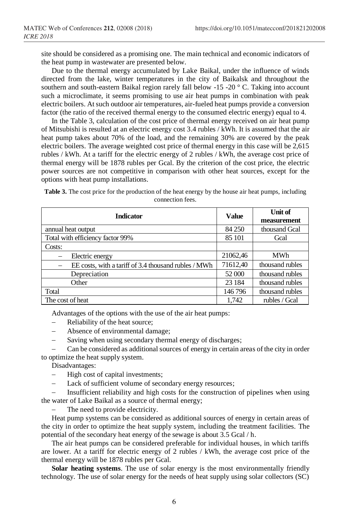site should be considered as a promising one. The main technical and economic indicators of the heat pump in wastewater are presented below.

Due to the thermal energy accumulated by Lake Baikal, under the influence of winds directed from the lake, winter temperatures in the city of Baikalsk and throughout the southern and south-eastern Baikal region rarely fall below -15 -20 ° C. Taking into account such a microclimate, it seems promising to use air heat pumps in combination with peak electric boilers. At such outdoor air temperatures, air-fueled heat pumps provide a conversion factor (the ratio of the received thermal energy to the consumed electric energy) equal to 4.

In the Table 3, calculation of the cost price of thermal energy received on air heat pump of Mitsubishi is resulted at an electric energy cost 3.4 rubles / kWh. It is assumed that the air heat pump takes about 70% of the load, and the remaining 30% are covered by the peak electric boilers. The average weighted cost price of thermal energy in this case will be 2,615 rubles / kWh. At a tariff for the electric energy of 2 rubles / kWh, the average cost price of thermal energy will be 1878 rubles per Gcal. By the criterion of the cost price, the electric power sources are not competitive in comparison with other heat sources, except for the options with heat pump installations.

**Table 3.** The cost price for the production of the heat energy by the house air heat pumps, including connection fees.

| <b>Indicator</b>                                     | <b>Value</b> | <b>Unit of</b><br>measurement |  |  |
|------------------------------------------------------|--------------|-------------------------------|--|--|
| annual heat output                                   | 84 250       | thousand Gcal                 |  |  |
| Total with efficiency factor 99%                     | 85 101       | Gcal                          |  |  |
| Costs:                                               |              |                               |  |  |
| Electric energy                                      | 21062,46     | <b>MWh</b>                    |  |  |
| EE costs, with a tariff of 3.4 thousand rubles / MWh | 71612,40     | thousand rubles               |  |  |
| Depreciation                                         | 52 000       | thousand rubles               |  |  |
| Other                                                | 23 184       | thousand rubles               |  |  |
| Total                                                | 146796       | thousand rubles               |  |  |
| The cost of heat                                     | 1.742        | rubles / Gcal                 |  |  |

Advantages of the options with the use of the air heat pumps:

- − Reliability of the heat source;
- − Absence of environmental damage;
- Saving when using secondary thermal energy of discharges;

− Can be considered as additional sources of energy in certain areas of the city in order to optimize the heat supply system.

Disadvantages:

- − High cost of capital investments;
- − Lack of sufficient volume of secondary energy resources;

− Insufficient reliability and high costs for the construction of pipelines when using the water of Lake Baikal as a source of thermal energy;

The need to provide electricity.

Heat pump systems can be considered as additional sources of energy in certain areas of the city in order to optimize the heat supply system, including the treatment facilities. The potential of the secondary heat energy of the sewage is about 3.5 Gcal / h.

The air heat pumps can be considered preferable for individual houses, in which tariffs are lower. At a tariff for electric energy of 2 rubles / kWh, the average cost price of the thermal energy will be 1878 rubles per Gcal.

**Solar heating systems**. The use of solar energy is the most environmentally friendly technology. The use of solar energy for the needs of heat supply using solar collectors (SC)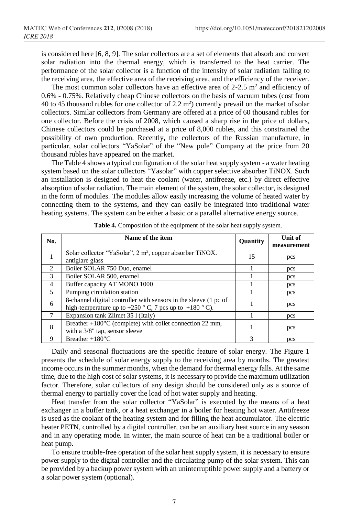is considered here [6, 8, 9]. The solar collectors are a set of elements that absorb and convert solar radiation into the thermal energy, which is transferred to the heat carrier. The performance of the solar collector is a function of the intensity of solar radiation falling to the receiving area, the effective area of the receiving area, and the efficiency of the receiver.

The most common solar collectors have an effective area of  $2\n-2.5$  m<sup>2</sup> and efficiency of 0.6% - 0.75%. Relatively cheap Chinese collectors on the basis of vacuum tubes (cost from 40 to 45 thousand rubles for one collector of  $2.2 \text{ m}^2$ ) currently prevail on the market of solar collectors. Similar collectors from Germany are offered at a price of 60 thousand rubles for one collector. Before the crisis of 2008, which caused a sharp rise in the price of dollars, Chinese collectors could be purchased at a price of 8,000 rubles, and this constrained the possibility of own production. Recently, the collectors of the Russian manufacture, in particular, solar collectors "YaSolar" of the "New pole" Company at the price from 20 thousand rubles have appeared on the market.

The Table 4 shows a typical configuration of the solar heat supply system - a water heating system based on the solar collectors "Yasolar" with copper selective absorber TiNOX. Such an installation is designed to heat the coolant (water, antifreeze, etc.) by direct effective absorption of solar radiation. The main element of the system, the solar collector, is designed in the form of modules. The modules allow easily increasing the volume of heated water by connecting them to the systems, and they can easily be integrated into traditional water heating systems. The system can be either a basic or a parallel alternative energy source.

| No.            | Name of the item                                                                                                                | <b>Ouantity</b> | Unit of<br>measurement |
|----------------|---------------------------------------------------------------------------------------------------------------------------------|-----------------|------------------------|
|                | Solar collector "YaSolar", 2 m <sup>2</sup> , copper absorber TiNOX.<br>antiglare glass                                         | 15              | pcs                    |
| $\mathfrak{D}$ | Boiler SOLAR 750 Duo, enamel                                                                                                    |                 | pcs                    |
| $\mathcal{F}$  | Boiler SOLAR 500, enamel                                                                                                        |                 | pcs                    |
| $\overline{4}$ | Buffer capacity AT MONO 1000                                                                                                    |                 | pcs                    |
| 5              | Pumping circulation station                                                                                                     |                 | <b>DCS</b>             |
| 6              | 8-channel digital controller with sensors in the sleeve (1 pc of<br>high-temperature up to $+250$ ° C, 7 pcs up to $+180$ ° C). |                 | pcs                    |
| $\tau$         | Expansion tank Zllmet 35 l (Italy)                                                                                              |                 | pcs                    |
| 8              | Breather +180"C (complete) with collet connection 22 mm,<br>with a 3/8" tap, sensor sleeve                                      |                 | pcs                    |
| 9              | Breather $+180$ "C                                                                                                              | 3               | <b>DCS</b>             |

**Table 4.** Composition of the equipment of the solar heat supply system.

Daily and seasonal fluctuations are the specific feature of solar energy. The Figure 1 presents the schedule of solar energy supply to the receiving area by months. The greatest income occurs in the summer months, when the demand for thermal energy falls. At the same time, due to the high cost of solar systems, it is necessary to provide the maximum utilization factor. Therefore, solar collectors of any design should be considered only as a source of thermal energy to partially cover the load of hot water supply and heating.

Heat transfer from the solar collector "YaSolar" is executed by the means of a heat exchanger in a buffer tank, or a heat exchanger in a boiler for heating hot water. Antifreeze is used as the coolant of the heating system and for filling the heat accumulator. The electric heater PETN, controlled by a digital controller, can be an auxiliary heat source in any season and in any operating mode. In winter, the main source of heat can be a traditional boiler or heat pump.

To ensure trouble-free operation of the solar heat supply system, it is necessary to ensure power supply to the digital controller and the circulating pump of the solar system. This can be provided by a backup power system with an uninterruptible power supply and a battery or a solar power system (optional).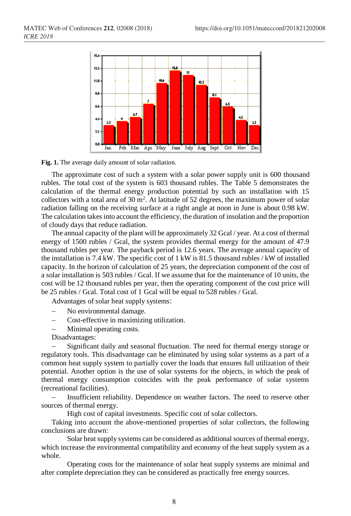

**Fig. 1.** The average daily amount of solar radiation.

The approximate cost of such a system with a solar power supply unit is 600 thousand rubles. The total cost of the system is 603 thousand rubles. The Table 5 demonstrates the calculation of the thermal energy production potential by such an installation with 15 collectors with a total area of  $30 \text{ m}^2$ . At latitude of  $52$  degrees, the maximum power of solar radiation falling on the receiving surface at a right angle at noon in June is about 0.98 kW. The calculation takes into account the efficiency, the duration of insolation and the proportion of cloudy days that reduce radiation.

The annual capacity of the plant will be approximately 32 Gcal / year. At a cost of thermal energy of 1500 rubles / Gcal, the system provides thermal energy for the amount of 47.9 thousand rubles per year. The payback period is 12.6 years. The average annual capacity of the installation is 7.4 kW. The specific cost of 1 kW is 81.5 thousand rubles / kW of installed capacity. In the horizon of calculation of 25 years, the depreciation component of the cost of a solar installation is 503 rubles / Gcal. If we assume that for the maintenance of 10 units, the cost will be 12 thousand rubles per year, then the operating component of the cost price will be 25 rubles / Gcal. Total cost of 1 Gcal will be equal to 528 rubles / Gcal.

Advantages of solar heat supply systems:

- − No environmental damage.
- − Cost-effective in maximizing utilization.
- Minimal operating costs.

Disadvantages:

Significant daily and seasonal fluctuation. The need for thermal energy storage or regulatory tools. This disadvantage can be eliminated by using solar systems as a part of a common heat supply system to partially cover the loads that ensures full utilization of their potential. Another option is the use of solar systems for the objects, in which the peak of thermal energy consumption coincides with the peak performance of solar systems (recreational facilities).

− Insufficient reliability. Dependence on weather factors. The need to reserve other sources of thermal energy.

High cost of capital investments. Specific cost of solar collectors.

Taking into account the above-mentioned properties of solar collectors, the following conclusions are drawn:

Solar heat supply systems can be considered as additional sources of thermal energy, which increase the environmental compatibility and economy of the heat supply system as a whole.

Operating costs for the maintenance of solar heat supply systems are minimal and after complete depreciation they can be considered as practically free energy sources.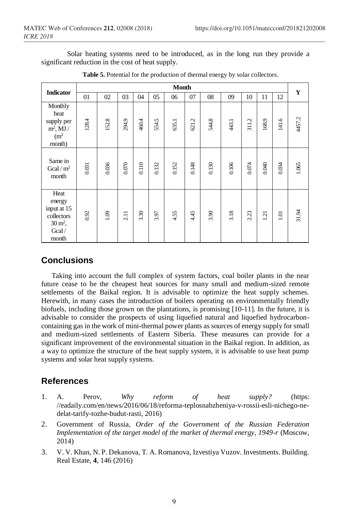Solar heating systems need to be introduced, as in the long run they provide a significant reduction in the cost of heat supply.

|                                                                                        | <b>Month</b> |       |       |       |       |       |            |       |       | Y         |       |       |        |
|----------------------------------------------------------------------------------------|--------------|-------|-------|-------|-------|-------|------------|-------|-------|-----------|-------|-------|--------|
| <b>Indicator</b>                                                                       | 01           | 02    | 03    | 04    | 05    | 06    | 07         | 08    | 09    | 10        | 11    | 12    |        |
| Monthly<br>heat<br>supply per<br>$m^2$ , MJ /<br>(m <sup>2</sup> )<br>month)           | 128.4        | 152.8 | 294.9 | 460.4 | 554.5 | 635.1 | L,<br>621. | 544.8 | 443.1 | 311.2     | 168.9 | 141.6 | 4457.2 |
| Same in<br>Gcal / $m2$<br>month                                                        | 0.031        | 0.036 | 0.070 | 0.110 | 0.132 | 0.152 | 0.148      | 0.130 | 0.106 | $0.074\,$ | 0.040 | 0.034 | 1.065  |
| Heat<br>energy<br>input at 15<br>collectors<br>$30 \,\mathrm{m}^2$ ,<br>Gcal/<br>month | 0.92         | 1.09  | 2.11  | 3.30  | 3.97  | 4.55  | 4.45       | 3.90  | 3.18  | 2.23      | 121   | 1.01  | 31.94  |

**Table 5.** Potential for the production of thermal energy by solar collectors.

## **Conclusions**

Taking into account the full complex of system factors, coal boiler plants in the near future cease to be the cheapest heat sources for many small and medium-sized remote settlements of the Baikal region. It is advisable to optimize the heat supply schemes. Herewith, in many cases the introduction of boilers operating on environmentally friendly biofuels, including those grown on the plantations, is promising [10-11]. In the future, it is advisable to consider the prospects of using liquefied natural and liquefied hydrocarboncontaining gas in the work of mini-thermal power plants as sources of energy supply for small and medium-sized settlements of Eastern Siberia. These measures can provide for a significant improvement of the environmental situation in the Baikal region. In addition, as a way to optimize the structure of the heat supply system, it is advisable to use heat pump systems and solar heat supply systems.

## **References**

- 1. A. Perov, *Why reform of heat supply?* (https: //eadaily.com/en/news/2016/06/18/reforma-teplosnabzheniya-v-rossii-esli-nichego-nedelat-tarify-tozhe-budut-rasti, 2016)
- 2. Government of Russia, *Order of the Government of the Russian Federation Implementation of the target model of the market of thermal energy, 1949-r* (Moscow, 2014)
- 3. V. V. Khan, N. P. Dekanova, T. A. Romanova, Izvestiya Vuzov. Investments. Building. Real Estate, **4**, 146 (2016)